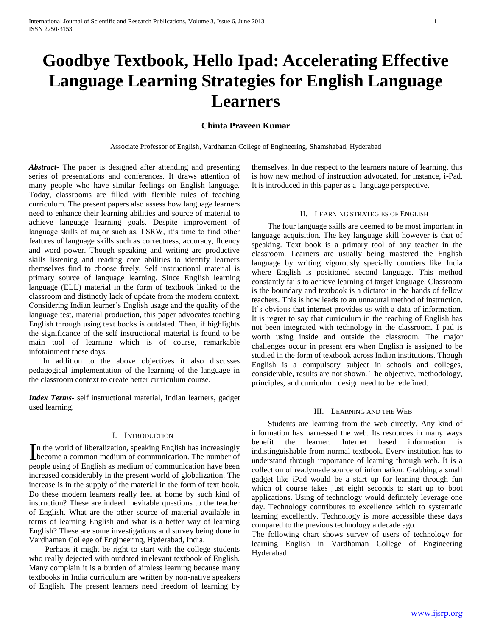# **Goodbye Textbook, Hello Ipad: Accelerating Effective Language Learning Strategies for English Language Learners**

# **Chinta Praveen Kumar**

Associate Professor of English, Vardhaman College of Engineering, Shamshabad, Hyderabad

*Abstract***-** The paper is designed after attending and presenting series of presentations and conferences. It draws attention of many people who have similar feelings on English language. Today, classrooms are filled with flexible rules of teaching curriculum. The present papers also assess how language learners need to enhance their learning abilities and source of material to achieve language learning goals. Despite improvement of language skills of major such as, LSRW, it's time to find other features of language skills such as correctness, accuracy, fluency and word power. Though speaking and writing are productive skills listening and reading core abilities to identify learners themselves find to choose freely. Self instructional material is primary source of language learning. Since English learning language (ELL) material in the form of textbook linked to the classroom and distinctly lack of update from the modern context. Considering Indian learner's English usage and the quality of the language test, material production, this paper advocates teaching English through using text books is outdated. Then, if highlights the significance of the self instructional material is found to be main tool of learning which is of course, remarkable infotainment these days.

 In addition to the above objectives it also discusses pedagogical implementation of the learning of the language in the classroom context to create better curriculum course.

*Index Terms*- self instructional material, Indian learners, gadget used learning.

## I. INTRODUCTION

n the world of liberalization, speaking English has increasingly In the world of liberalization, speaking English has increasingly become a common medium of communication. The number of people using of English as medium of communication have been increased considerably in the present world of globalization. The increase is in the supply of the material in the form of text book. Do these modern learners really feel at home by such kind of instruction? These are indeed inevitable questions to the teacher of English. What are the other source of material available in terms of learning English and what is a better way of learning English? These are some investigations and survey being done in Vardhaman College of Engineering, Hyderabad, India.

 Perhaps it might be right to start with the college students who really dejected with outdated irrelevant textbook of English. Many complain it is a burden of aimless learning because many textbooks in India curriculum are written by non-native speakers of English. The present learners need freedom of learning by themselves. In due respect to the learners nature of learning, this is how new method of instruction advocated, for instance, i-Pad. It is introduced in this paper as a language perspective.

#### II. LEARNING STRATEGIES OF ENGLISH

 The four language skills are deemed to be most important in language acquisition. The key language skill however is that of speaking. Text book is a primary tool of any teacher in the classroom. Learners are usually being mastered the English language by writing vigorously specially courtiers like India where English is positioned second language. This method constantly fails to achieve learning of target language. Classroom is the boundary and textbook is a dictator in the hands of fellow teachers. This is how leads to an unnatural method of instruction. It's obvious that internet provides us with a data of information. It is regret to say that curriculum in the teaching of English has not been integrated with technology in the classroom. I pad is worth using inside and outside the classroom. The major challenges occur in present era when English is assigned to be studied in the form of textbook across Indian institutions. Though English is a compulsory subject in schools and colleges, considerable, results are not shown. The objective, methodology, principles, and curriculum design need to be redefined.

## III. LEARNING AND THE WEB

 Students are learning from the web directly. Any kind of information has harnessed the web. Its resources in many ways benefit the learner. Internet based information is indistinguishable from normal textbook. Every institution has to understand through importance of learning through web. It is a collection of readymade source of information. Grabbing a small gadget like iPad would be a start up for leaning through fun which of course takes just eight seconds to start up to boot applications. Using of technology would definitely leverage one day. Technology contributes to excellence which to systematic learning excellently. Technology is more accessible these days compared to the previous technology a decade ago.

The following chart shows survey of users of technology for learning English in Vardhaman College of Engineering Hyderabad.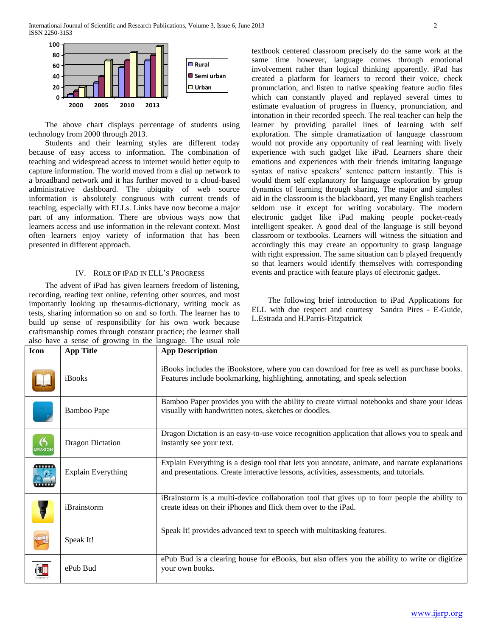

 The above chart displays percentage of students using technology from 2000 through 2013.

 Students and their learning styles are different today because of easy access to information. The combination of teaching and widespread access to internet would better equip to capture information. The world moved from a dial up network to a broadband network and it has further moved to a cloud-based administrative dashboard. The ubiquity of web source information is absolutely congruous with current trends of teaching, especially with ELLs. Links have now become a major part of any information. There are obvious ways now that learners access and use information in the relevant context. Most often learners enjoy variety of information that has been presented in different approach.

### IV. ROLE OF IPAD IN ELL'S PROGRESS

 The advent of iPad has given learners freedom of listening, recording, reading text online, referring other sources, and most importantly looking up thesaurus-dictionary, writing mock as tests, sharing information so on and so forth. The learner has to build up sense of responsibility for his own work because craftsmanship comes through constant practice; the learner shall also have a sense of growing in the language. The usual role textbook centered classroom precisely do the same work at the same time however, language comes through emotional involvement rather than logical thinking apparently. iPad has created a platform for learners to record their voice, check pronunciation, and listen to native speaking feature audio files which can constantly played and replayed several times to estimate evaluation of progress in fluency, pronunciation, and intonation in their recorded speech. The real teacher can help the learner by providing parallel lines of learning with self exploration. The simple dramatization of language classroom would not provide any opportunity of real learning with lively experience with such gadget like iPad. Learners share their emotions and experiences with their friends imitating language syntax of native speakers' sentence pattern instantly. This is would them self explanatory for language exploration by group dynamics of learning through sharing. The major and simplest aid in the classroom is the blackboard, yet many English teachers seldom use it except for writing vocabulary. The modern electronic gadget like iPad making people pocket-ready intelligent speaker. A good deal of the language is still beyond classroom or textbooks. Learners will witness the situation and accordingly this may create an opportunity to grasp language with right expression. The same situation can b played frequently so that learners would identify themselves with corresponding events and practice with feature plays of electronic gadget.

 The following brief introduction to iPad Applications for ELL with due respect and courtesy Sandra Pires - E-Guide, L.Estrada and H.Parris-Fitzpatrick

| Icon          | <b>App Title</b>          | <b>App Description</b>                                                                                                                                                                  |
|---------------|---------------------------|-----------------------------------------------------------------------------------------------------------------------------------------------------------------------------------------|
|               |                           |                                                                                                                                                                                         |
|               | iBooks                    | iBooks includes the iBookstore, where you can download for free as well as purchase books.<br>Features include bookmarking, highlighting, annotating, and speak selection               |
|               | Bamboo Pape               | Bamboo Paper provides you with the ability to create virtual notebooks and share your ideas<br>visually with handwritten notes, sketches or doodles.                                    |
| <b>DRAGON</b> | <b>Dragon Dictation</b>   | Dragon Dictation is an easy-to-use voice recognition application that allows you to speak and<br>instantly see your text.                                                               |
| <u>aman</u>   | <b>Explain Everything</b> | Explain Everything is a design tool that lets you annotate, animate, and narrate explanations<br>and presentations. Create interactive lessons, activities, assessments, and tutorials. |
|               | iBrainstorm               | iBrainstorm is a multi-device collaboration tool that gives up to four people the ability to<br>create ideas on their iPhones and flick them over to the iPad.                          |
|               | Speak It!                 | Speak It! provides advanced text to speech with multitasking features.                                                                                                                  |
|               | ePub Bud                  | ePub Bud is a clearing house for eBooks, but also offers you the ability to write or digitize<br>your own books.                                                                        |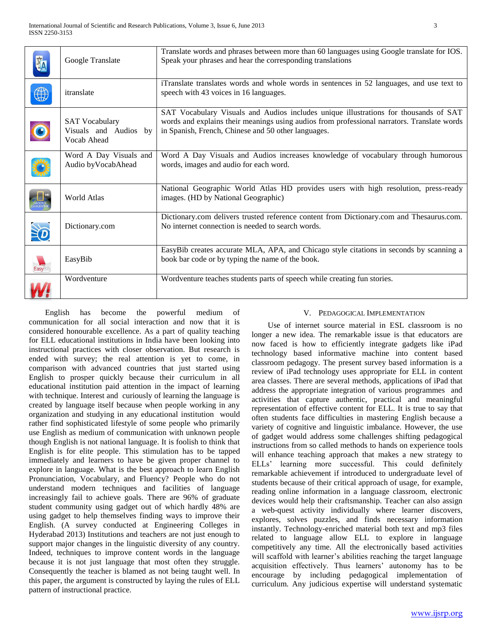|            | Google Translate                                              | Translate words and phrases between more than 60 languages using Google translate for IOS.<br>Speak your phrases and hear the corresponding translations                                                                                   |
|------------|---------------------------------------------------------------|--------------------------------------------------------------------------------------------------------------------------------------------------------------------------------------------------------------------------------------------|
|            | itranslate                                                    | iTranslate translates words and whole words in sentences in 52 languages, and use text to<br>speech with 43 voices in 16 languages.                                                                                                        |
| $\bigcirc$ | <b>SAT Vocabulary</b><br>Visuals and Audios by<br>Vocab Ahead | SAT Vocabulary Visuals and Audios includes unique illustrations for thousands of SAT<br>words and explains their meanings using audios from professional narrators. Translate words<br>in Spanish, French, Chinese and 50 other languages. |
|            | Word A Day Visuals and<br>Audio byVocabAhead                  | Word A Day Visuals and Audios increases knowledge of vocabulary through humorous<br>words, images and audio for each word.                                                                                                                 |
|            | World Atlas                                                   | National Geographic World Atlas HD provides users with high resolution, press-ready<br>images. (HD by National Geographic)                                                                                                                 |
|            | Dictionary.com                                                | Dictionary.com delivers trusted reference content from Dictionary.com and Thesaurus.com.<br>No internet connection is needed to search words.                                                                                              |
| EasyBit    | EasyBib                                                       | EasyBib creates accurate MLA, APA, and Chicago style citations in seconds by scanning a<br>book bar code or by typing the name of the book.                                                                                                |
|            | Wordventure                                                   | Wordventure teaches students parts of speech while creating fun stories.                                                                                                                                                                   |

 English has become the powerful medium of communication for all social interaction and now that it is considered honourable excellence. As a part of quality teaching for ELL educational institutions in India have been looking into instructional practices with closer observation. But research is ended with survey; the real attention is yet to come, in comparison with advanced countries that just started using English to prosper quickly because their curriculum in all educational institution paid attention in the impact of learning with technique. Interest and curiously of learning the language is created by language itself because when people working in any organization and studying in any educational institution would rather find sophisticated lifestyle of some people who primarily use English as medium of communication with unknown people though English is not national language. It is foolish to think that English is for elite people. This stimulation has to be tapped immediately and learners to have be given proper channel to explore in language. What is the best approach to learn English Pronunciation, Vocabulary, and Fluency? People who do not understand modern techniques and facilities of language increasingly fail to achieve goals. There are 96% of graduate student community using gadget out of which hardly 48% are using gadget to help themselves finding ways to improve their English. (A survey conducted at Engineering Colleges in Hyderabad 2013) Institutions and teachers are not just enough to support major changes in the linguistic diversity of any country. Indeed, techniques to improve content words in the language because it is not just language that most often they struggle. Consequently the teacher is blamed as not being taught well. In this paper, the argument is constructed by laying the rules of ELL pattern of instructional practice.

# V. PEDAGOGICAL IMPLEMENTATION

 Use of internet source material in ESL classroom is no longer a new idea. The remarkable issue is that educators are now faced is how to efficiently integrate gadgets like iPad technology based informative machine into content based classroom pedagogy. The present survey based information is a review of iPad technology uses appropriate for ELL in content area classes. There are several methods, applications of iPad that address the appropriate integration of various programmes and activities that capture authentic, practical and meaningful representation of effective content for ELL. It is true to say that often students face difficulties in mastering English because a variety of cognitive and linguistic imbalance. However, the use of gadget would address some challenges shifting pedagogical instructions from so called methods to hands on experience tools will enhance teaching approach that makes a new strategy to ELLs' learning more successful. This could definitely remarkable achievement if introduced to undergraduate level of students because of their critical approach of usage, for example, reading online information in a language classroom, electronic devices would help their craftsmanship. Teacher can also assign a web-quest activity individually where learner discovers, explores, solves puzzles, and finds necessary information instantly. Technology-enriched material both text and mp3 files related to language allow ELL to explore in language competitively any time. All the electronically based activities will scaffold with learner's abilities reaching the target language acquisition effectively. Thus learners' autonomy has to be encourage by including pedagogical implementation of curriculum. Any judicious expertise will understand systematic